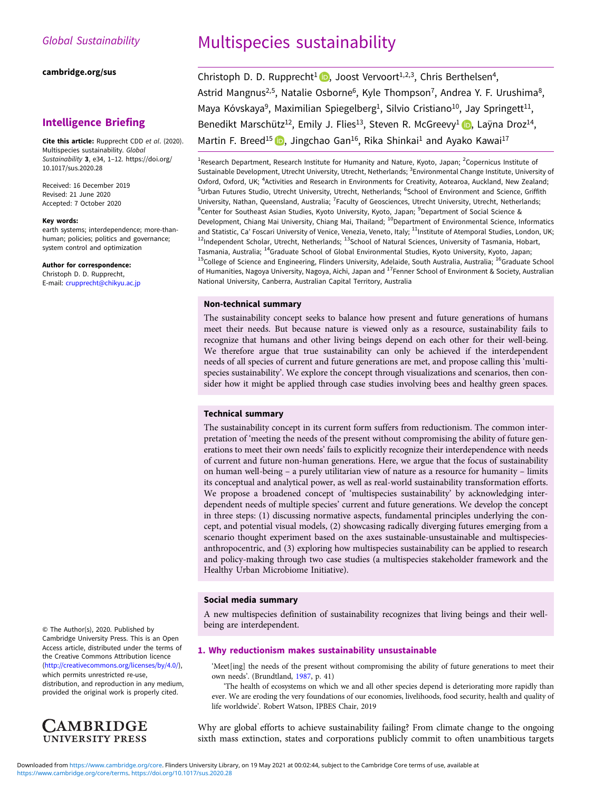#### [cambridge.org/sus](https://www.cambridge.org/sus)

## Intelligence Briefing

Cite this article: Rupprecht CDD et al. (2020). Multispecies sustainability. Global Sustainability 3, e34, 1–12. [https://doi.org/](https://doi.org/10.1017/sus.2020.28) [10.1017/sus.2020.28](https://doi.org/10.1017/sus.2020.28)

Received: 16 December 2019 Revised: 21 June 2020 Accepted: 7 October 2020

#### Key words:

earth systems; interdependence; more-thanhuman; policies; politics and governance; system control and optimization

#### Author for correspondence:

Christoph D. D. Rupprecht, E-mail: [crupprecht@chikyu.ac.jp](mailto:crupprecht@chikyu.ac.jp)

# Multispecies sustainability

Christoph D. D. Rupprecht<sup>1</sup>  $\blacksquare$ , Joost Vervoort<sup>1,2,3</sup>, Chris Berthelsen<sup>4</sup>, Astrid Mangnus<sup>2,5</sup>, Natalie Osborne<sup>6</sup>, Kyle Thompson<sup>7</sup>, Andrea Y. F. Urushima<sup>8</sup>, Maya Kóvskaya<sup>9</sup>, Maximilian Spiegelberg<sup>1</sup>, Silvio Cristiano<sup>10</sup>, Jay Springett<sup>11</sup>, Benedikt Marschütz<sup>12</sup>[,](https://orcid.org/0000-0002-3708-424X) Emily J. Flies<sup>13</sup>, Steven R. McGreevy<sup>1</sup> (D. Laÿna Droz<sup>14</sup>, Martin F. Breed<sup>15</sup> **D**, Jingchao Gan<sup>16</sup>, Rika Shinkai<sup>1</sup> and Ayako Kawai<sup>17</sup>

<sup>1</sup>Research Department, Research Institute for Humanity and Nature, Kyoto, Japan; <sup>2</sup>Copernicus Institute of Sustainable Development, Utrecht University, Utrecht, Netherlands; <sup>3</sup>Environmental Change Institute, University of Oxford, Oxford, UK; <sup>4</sup>Activities and Research in Environments for Creativity, Aotearoa, Auckland, New Zealand; <sup>5</sup>Urban Futures Studio, Utrecht University, Utrecht, Netherlands; <sup>6</sup>School of Environment and Science, Griffith University, Nathan, Queensland, Australia; <sup>7</sup>Faculty of Geosciences, Utrecht University, Utrecht, Netherlands; <sup>8</sup>Center for Southeast Asian Studies, Kyoto University, Kyoto, Japan; <sup>9</sup>Department of Social Science & Development, Chiang Mai University, Chiang Mai, Thailand; <sup>10</sup>Department of Environmental Science, Informatics and Statistic, Ca' Foscari University of Venice, Venezia, Veneto, Italy; <sup>11</sup>Institute of Atemporal Studies, London, UK; <sup>12</sup>Independent Scholar, Utrecht, Netherlands; <sup>13</sup>School of Natural Sciences, University of Tasmania, Hobart, Tasmania, Australia; <sup>14</sup>Graduate School of Global Environmental Studies, Kyoto University, Kyoto, Japan; <sup>15</sup>College of Science and Engineering, Flinders University, Adelaide, South Australia, Australia; <sup>16</sup>Graduate School of Humanities, Nagoya University, Nagoya, Aichi, Japan and <sup>17</sup>Fenner School of Environment & Society, Australian National University, Canberra, Australian Capital Territory, Australia

## Non-technical summary

The sustainability concept seeks to balance how present and future generations of humans meet their needs. But because nature is viewed only as a resource, sustainability fails to recognize that humans and other living beings depend on each other for their well-being. We therefore argue that true sustainability can only be achieved if the interdependent needs of all species of current and future generations are met, and propose calling this 'multispecies sustainability'. We explore the concept through visualizations and scenarios, then consider how it might be applied through case studies involving bees and healthy green spaces.

## Technical summary

The sustainability concept in its current form suffers from reductionism. The common interpretation of 'meeting the needs of the present without compromising the ability of future generations to meet their own needs' fails to explicitly recognize their interdependence with needs of current and future non-human generations. Here, we argue that the focus of sustainability on human well-being – a purely utilitarian view of nature as a resource for humanity – limits its conceptual and analytical power, as well as real-world sustainability transformation efforts. We propose a broadened concept of 'multispecies sustainability' by acknowledging interdependent needs of multiple species' current and future generations. We develop the concept in three steps: (1) discussing normative aspects, fundamental principles underlying the concept, and potential visual models, (2) showcasing radically diverging futures emerging from a scenario thought experiment based on the axes sustainable-unsustainable and multispeciesanthropocentric, and (3) exploring how multispecies sustainability can be applied to research and policy-making through two case studies (a multispecies stakeholder framework and the Healthy Urban Microbiome Initiative).

#### Social media summary

A new multispecies definition of sustainability recognizes that living beings and their wellbeing are interdependent.

## 1. Why reductionism makes sustainability unsustainable

'Meet[ing] the needs of the present without compromising the ability of future generations to meet their own needs'. (Brundtland, [1987,](#page-9-0) p. 41)

'The health of ecosystems on which we and all other species depend is deteriorating more rapidly than ever. We are eroding the very foundations of our economies, livelihoods, food security, health and quality of life worldwide'. Robert Watson, IPBES Chair, 2019

Why are global efforts to achieve sustainability failing? From climate change to the ongoing sixth mass extinction, states and corporations publicly commit to often unambitious targets

© The Author(s), 2020. Published by Cambridge University Press. This is an Open Access article, distributed under the terms of the Creative Commons Attribution licence ([http://creativecommons.org/licenses/by/4.0/\)](http://creativecommons.org/licenses/by/4.0/),

which permits unrestricted re-use, distribution, and reproduction in any medium, provided the original work is properly cited.

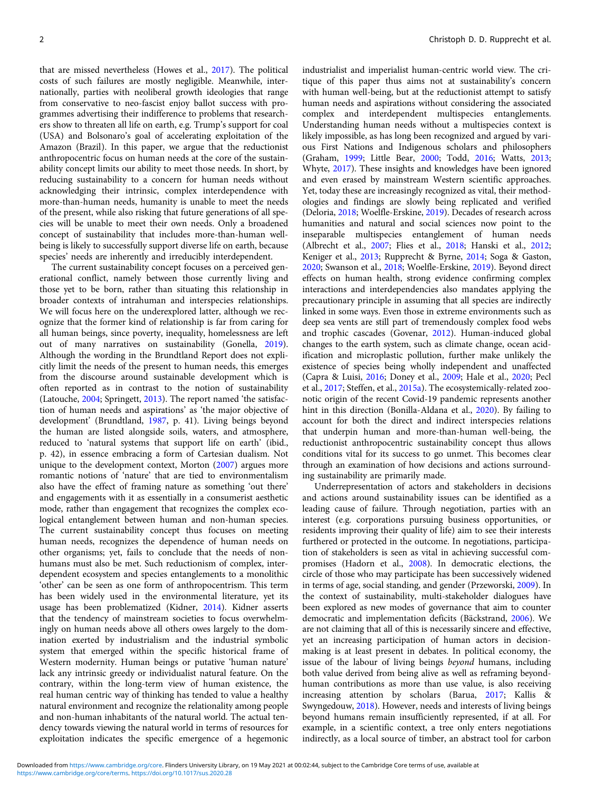that are missed nevertheless (Howes et al., [2017](#page-10-0)). The political costs of such failures are mostly negligible. Meanwhile, internationally, parties with neoliberal growth ideologies that range from conservative to neo-fascist enjoy ballot success with programmes advertising their indifference to problems that researchers show to threaten all life on earth, e.g. Trump's support for coal (USA) and Bolsonaro's goal of accelerating exploitation of the Amazon (Brazil). In this paper, we argue that the reductionist anthropocentric focus on human needs at the core of the sustainability concept limits our ability to meet those needs. In short, by reducing sustainability to a concern for human needs without acknowledging their intrinsic, complex interdependence with more-than-human needs, humanity is unable to meet the needs of the present, while also risking that future generations of all species will be unable to meet their own needs. Only a broadened concept of sustainability that includes more-than-human wellbeing is likely to successfully support diverse life on earth, because species' needs are inherently and irreducibly interdependent.

The current sustainability concept focuses on a perceived generational conflict, namely between those currently living and those yet to be born, rather than situating this relationship in broader contexts of intrahuman and interspecies relationships. We will focus here on the underexplored latter, although we recognize that the former kind of relationship is far from caring for all human beings, since poverty, inequality, homelessness are left out of many narratives on sustainability (Gonella, [2019\)](#page-10-0). Although the wording in the Brundtland Report does not explicitly limit the needs of the present to human needs, this emerges from the discourse around sustainable development which is often reported as in contrast to the notion of sustainability (Latouche, [2004](#page-10-0); Springett, [2013\)](#page-11-0). The report named 'the satisfaction of human needs and aspirations' as 'the major objective of development' (Brundtland, [1987](#page-9-0), p. 41). Living beings beyond the human are listed alongside soils, waters, and atmosphere, reduced to 'natural systems that support life on earth' (ibid., p. 42), in essence embracing a form of Cartesian dualism. Not unique to the development context, Morton ([2007](#page-11-0)) argues more romantic notions of 'nature' that are tied to environmentalism also have the effect of framing nature as something 'out there' and engagements with it as essentially in a consumerist aesthetic mode, rather than engagement that recognizes the complex ecological entanglement between human and non-human species. The current sustainability concept thus focuses on meeting human needs, recognizes the dependence of human needs on other organisms; yet, fails to conclude that the needs of nonhumans must also be met. Such reductionism of complex, interdependent ecosystem and species entanglements to a monolithic 'other' can be seen as one form of anthropocentrism. This term has been widely used in the environmental literature, yet its usage has been problematized (Kidner, [2014](#page-10-0)). Kidner asserts that the tendency of mainstream societies to focus overwhelmingly on human needs above all others owes largely to the domination exerted by industrialism and the industrial symbolic system that emerged within the specific historical frame of Western modernity. Human beings or putative 'human nature' lack any intrinsic greedy or individualist natural feature. On the contrary, within the long-term view of human existence, the real human centric way of thinking has tended to value a healthy natural environment and recognize the relationality among people and non-human inhabitants of the natural world. The actual tendency towards viewing the natural world in terms of resources for exploitation indicates the specific emergence of a hegemonic

industrialist and imperialist human-centric world view. The critique of this paper thus aims not at sustainability's concern with human well-being, but at the reductionist attempt to satisfy human needs and aspirations without considering the associated complex and interdependent multispecies entanglements. Understanding human needs without a multispecies context is likely impossible, as has long been recognized and argued by various First Nations and Indigenous scholars and philosophers (Graham, [1999;](#page-10-0) Little Bear, [2000](#page-10-0); Todd, [2016;](#page-11-0) Watts, [2013;](#page-11-0) Whyte, [2017](#page-11-0)). These insights and knowledges have been ignored and even erased by mainstream Western scientific approaches. Yet, today these are increasingly recognized as vital, their methodologies and findings are slowly being replicated and verified (Deloria, [2018](#page-9-0); Woelfle-Erskine, [2019](#page-11-0)). Decades of research across humanities and natural and social sciences now point to the inseparable multispecies entanglement of human needs (Albrecht et al., [2007](#page-9-0); Flies et al., [2018;](#page-10-0) Hanski et al., [2012;](#page-10-0) Keniger et al., [2013;](#page-10-0) Rupprecht & Byrne, [2014](#page-11-0); Soga & Gaston, [2020;](#page-11-0) Swanson et al., [2018](#page-11-0); Woelfle-Erskine, [2019](#page-11-0)). Beyond direct effects on human health, strong evidence confirming complex interactions and interdependencies also mandates applying the precautionary principle in assuming that all species are indirectly linked in some ways. Even those in extreme environments such as deep sea vents are still part of tremendously complex food webs and trophic cascades (Govenar, [2012](#page-10-0)). Human-induced global changes to the earth system, such as climate change, ocean acidification and microplastic pollution, further make unlikely the existence of species being wholly independent and unaffected (Capra & Luisi, [2016](#page-9-0); Doney et al., [2009](#page-9-0); Hale et al., [2020;](#page-10-0) Pecl et al., [2017;](#page-11-0) Steffen, et al., [2015a\)](#page-11-0). The ecosystemically-related zoonotic origin of the recent Covid-19 pandemic represents another hint in this direction (Bonilla-Aldana et al., [2020](#page-9-0)). By failing to account for both the direct and indirect interspecies relations that underpin human and more-than-human well-being, the reductionist anthropocentric sustainability concept thus allows conditions vital for its success to go unmet. This becomes clear through an examination of how decisions and actions surrounding sustainability are primarily made.

Underrepresentation of actors and stakeholders in decisions and actions around sustainability issues can be identified as a leading cause of failure. Through negotiation, parties with an interest (e.g. corporations pursuing business opportunities, or residents improving their quality of life) aim to see their interests furthered or protected in the outcome. In negotiations, participation of stakeholders is seen as vital in achieving successful compromises (Hadorn et al., [2008](#page-10-0)). In democratic elections, the circle of those who may participate has been successively widened in terms of age, social standing, and gender (Przeworski, [2009\)](#page-11-0). In the context of sustainability, multi-stakeholder dialogues have been explored as new modes of governance that aim to counter democratic and implementation deficits (Bäckstrand, [2006\)](#page-9-0). We are not claiming that all of this is necessarily sincere and effective, yet an increasing participation of human actors in decisionmaking is at least present in debates. In political economy, the issue of the labour of living beings beyond humans, including both value derived from being alive as well as reframing beyondhuman contributions as more than use value, is also receiving increasing attention by scholars (Barua, [2017](#page-9-0); Kallis & Swyngedouw, [2018\)](#page-10-0). However, needs and interests of living beings beyond humans remain insufficiently represented, if at all. For example, in a scientific context, a tree only enters negotiations indirectly, as a local source of timber, an abstract tool for carbon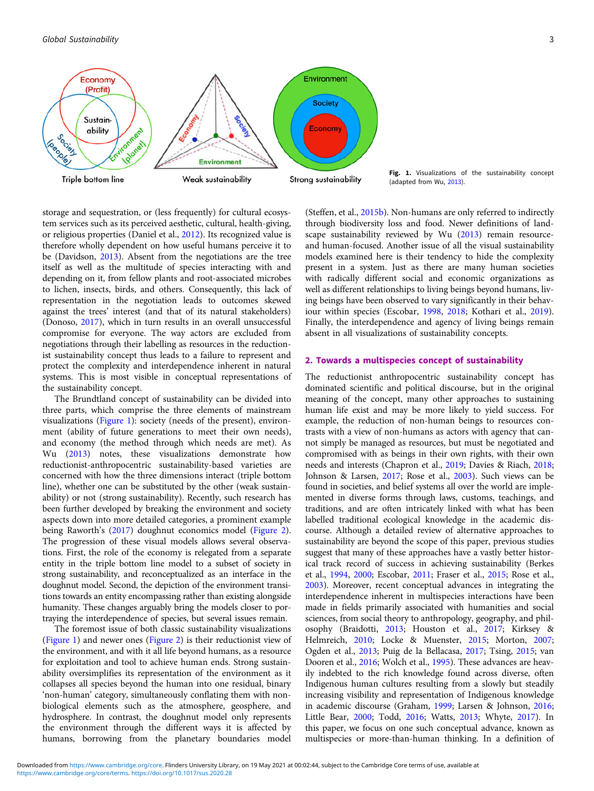

Fig. 1. Visualizations of the sustainability concept (adapted from Wu, [2013\)](#page-11-0).

storage and sequestration, or (less frequently) for cultural ecosystem services such as its perceived aesthetic, cultural, health-giving, or religious properties (Daniel et al., [2012](#page-9-0)). Its recognized value is therefore wholly dependent on how useful humans perceive it to be (Davidson, [2013\)](#page-9-0). Absent from the negotiations are the tree itself as well as the multitude of species interacting with and depending on it, from fellow plants and root-associated microbes to lichen, insects, birds, and others. Consequently, this lack of representation in the negotiation leads to outcomes skewed against the trees' interest (and that of its natural stakeholders) (Donoso, [2017](#page-9-0)), which in turn results in an overall unsuccessful compromise for everyone. The way actors are excluded from negotiations through their labelling as resources in the reductionist sustainability concept thus leads to a failure to represent and protect the complexity and interdependence inherent in natural systems. This is most visible in conceptual representations of the sustainability concept.

The Brundtland concept of sustainability can be divided into three parts, which comprise the three elements of mainstream visualizations (Figure 1): society (needs of the present), environment (ability of future generations to meet their own needs), and economy (the method through which needs are met). As Wu [\(2013](#page-11-0)) notes, these visualizations demonstrate how reductionist-anthropocentric sustainability-based varieties are concerned with how the three dimensions interact (triple bottom line), whether one can be substituted by the other (weak sustainability) or not (strong sustainability). Recently, such research has been further developed by breaking the environment and society aspects down into more detailed categories, a prominent example being Raworth's [\(2017\)](#page-11-0) doughnut economics model [\(Figure 2\)](#page-3-0). The progression of these visual models allows several observations. First, the role of the economy is relegated from a separate entity in the triple bottom line model to a subset of society in strong sustainability, and reconceptualized as an interface in the doughnut model. Second, the depiction of the environment transitions towards an entity encompassing rather than existing alongside humanity. These changes arguably bring the models closer to portraying the interdependence of species, but several issues remain.

The foremost issue of both classic sustainability visualizations (Figure 1) and newer ones [\(Figure 2\)](#page-3-0) is their reductionist view of the environment, and with it all life beyond humans, as a resource for exploitation and tool to achieve human ends. Strong sustainability oversimplifies its representation of the environment as it collapses all species beyond the human into one residual, binary 'non-human' category, simultaneously conflating them with nonbiological elements such as the atmosphere, geosphere, and hydrosphere. In contrast, the doughnut model only represents the environment through the different ways it is affected by humans, borrowing from the planetary boundaries model

(Steffen, et al., [2015b\)](#page-11-0). Non-humans are only referred to indirectly through biodiversity loss and food. Newer definitions of landscape sustainability reviewed by Wu ([2013](#page-11-0)) remain resourceand human-focused. Another issue of all the visual sustainability models examined here is their tendency to hide the complexity present in a system. Just as there are many human societies with radically different social and economic organizations as well as different relationships to living beings beyond humans, living beings have been observed to vary significantly in their behaviour within species (Escobar, [1998](#page-10-0), [2018;](#page-10-0) Kothari et al., [2019](#page-10-0)). Finally, the interdependence and agency of living beings remain absent in all visualizations of sustainability concepts.

#### 2. Towards a multispecies concept of sustainability

The reductionist anthropocentric sustainability concept has dominated scientific and political discourse, but in the original meaning of the concept, many other approaches to sustaining human life exist and may be more likely to yield success. For example, the reduction of non-human beings to resources contrasts with a view of non-humans as actors with agency that cannot simply be managed as resources, but must be negotiated and compromised with as beings in their own rights, with their own needs and interests (Chapron et al., [2019](#page-9-0); Davies & Riach, [2018](#page-9-0); Johnson & Larsen, [2017;](#page-10-0) Rose et al., [2003](#page-11-0)). Such views can be found in societies, and belief systems all over the world are implemented in diverse forms through laws, customs, teachings, and traditions, and are often intricately linked with what has been labelled traditional ecological knowledge in the academic discourse. Although a detailed review of alternative approaches to sustainability are beyond the scope of this paper, previous studies suggest that many of these approaches have a vastly better historical track record of success in achieving sustainability (Berkes et al., [1994,](#page-9-0) [2000;](#page-9-0) Escobar, [2011](#page-10-0); Fraser et al., [2015](#page-10-0); Rose et al., [2003](#page-11-0)). Moreover, recent conceptual advances in integrating the interdependence inherent in multispecies interactions have been made in fields primarily associated with humanities and social sciences, from social theory to anthropology, geography, and philosophy (Braidotti, [2013;](#page-9-0) Houston et al., [2017;](#page-10-0) Kirksey & Helmreich, [2010](#page-10-0); Locke & Muenster, [2015](#page-10-0); Morton, [2007](#page-11-0); Ogden et al., [2013](#page-11-0); Puig de la Bellacasa, [2017](#page-11-0); Tsing, [2015](#page-11-0); van Dooren et al., [2016](#page-11-0); Wolch et al., [1995\)](#page-11-0). These advances are heavily indebted to the rich knowledge found across diverse, often Indigenous human cultures resulting from a slowly but steadily increasing visibility and representation of Indigenous knowledge in academic discourse (Graham, [1999](#page-10-0); Larsen & Johnson, [2016](#page-10-0); Little Bear, [2000;](#page-10-0) Todd, [2016](#page-11-0); Watts, [2013;](#page-11-0) Whyte, [2017](#page-11-0)). In this paper, we focus on one such conceptual advance, known as multispecies or more-than-human thinking. In a definition of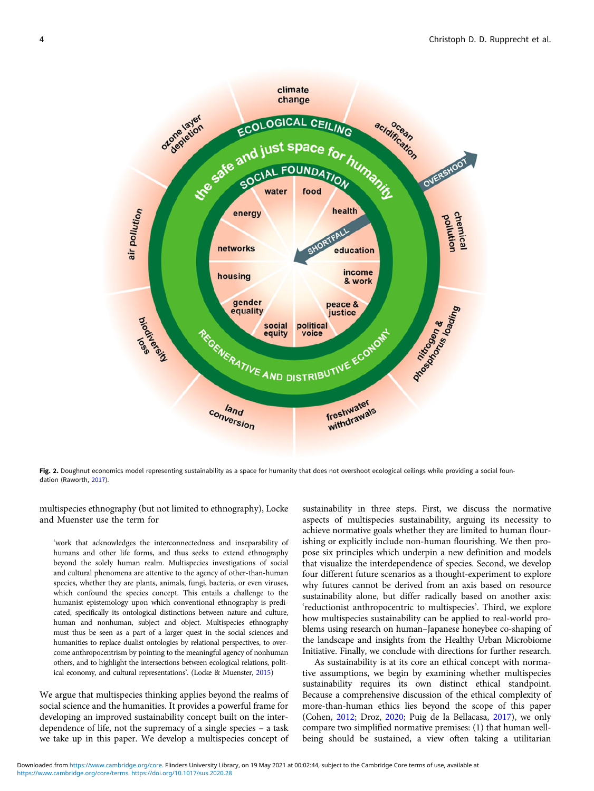<span id="page-3-0"></span>

Fig. 2. Doughnut economics model representing sustainability as a space for humanity that does not overshoot ecological ceilings while providing a social foundation (Raworth, [2017\)](#page-11-0).

multispecies ethnography (but not limited to ethnography), Locke and Muenster use the term for

'work that acknowledges the interconnectedness and inseparability of humans and other life forms, and thus seeks to extend ethnography beyond the solely human realm. Multispecies investigations of social and cultural phenomena are attentive to the agency of other-than-human species, whether they are plants, animals, fungi, bacteria, or even viruses, which confound the species concept. This entails a challenge to the humanist epistemology upon which conventional ethnography is predicated, specifically its ontological distinctions between nature and culture, human and nonhuman, subject and object. Multispecies ethnography must thus be seen as a part of a larger quest in the social sciences and humanities to replace dualist ontologies by relational perspectives, to overcome anthropocentrism by pointing to the meaningful agency of nonhuman others, and to highlight the intersections between ecological relations, political economy, and cultural representations'. (Locke & Muenster, [2015\)](#page-10-0)

We argue that multispecies thinking applies beyond the realms of social science and the humanities. It provides a powerful frame for developing an improved sustainability concept built on the interdependence of life, not the supremacy of a single species – a task we take up in this paper. We develop a multispecies concept of

sustainability in three steps. First, we discuss the normative aspects of multispecies sustainability, arguing its necessity to achieve normative goals whether they are limited to human flourishing or explicitly include non-human flourishing. We then propose six principles which underpin a new definition and models that visualize the interdependence of species. Second, we develop four different future scenarios as a thought-experiment to explore why futures cannot be derived from an axis based on resource sustainability alone, but differ radically based on another axis: 'reductionist anthropocentric to multispecies'. Third, we explore how multispecies sustainability can be applied to real-world problems using research on human–Japanese honeybee co-shaping of the landscape and insights from the Healthy Urban Microbiome Initiative. Finally, we conclude with directions for further research.

As sustainability is at its core an ethical concept with normative assumptions, we begin by examining whether multispecies sustainability requires its own distinct ethical standpoint. Because a comprehensive discussion of the ethical complexity of more-than-human ethics lies beyond the scope of this paper (Cohen, [2012;](#page-9-0) Droz, [2020;](#page-9-0) Puig de la Bellacasa, [2017\)](#page-11-0), we only compare two simplified normative premises: (1) that human wellbeing should be sustained, a view often taking a utilitarian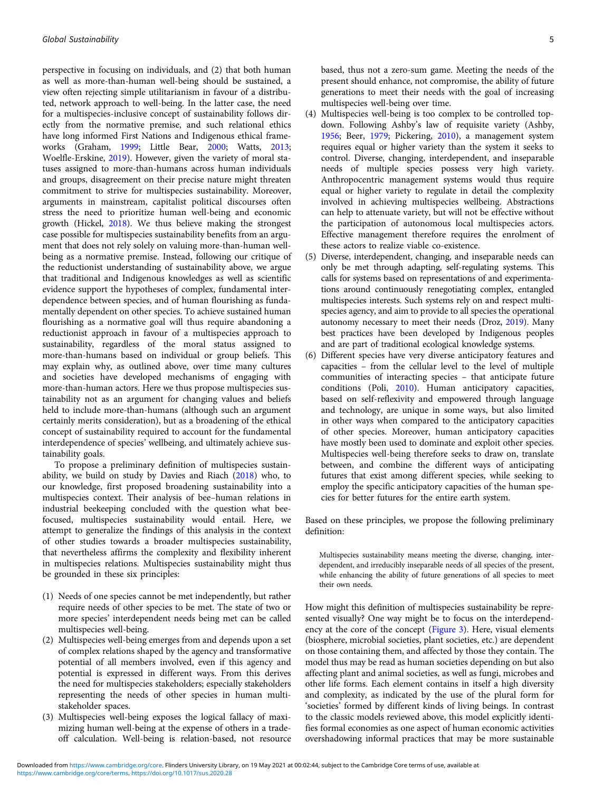perspective in focusing on individuals, and (2) that both human as well as more-than-human well-being should be sustained, a view often rejecting simple utilitarianism in favour of a distributed, network approach to well-being. In the latter case, the need for a multispecies-inclusive concept of sustainability follows directly from the normative premise, and such relational ethics have long informed First Nations and Indigenous ethical frameworks (Graham, [1999;](#page-10-0) Little Bear, [2000](#page-10-0); Watts, [2013;](#page-11-0) Woelfle-Erskine, [2019](#page-11-0)). However, given the variety of moral statuses assigned to more-than-humans across human individuals and groups, disagreement on their precise nature might threaten commitment to strive for multispecies sustainability. Moreover, arguments in mainstream, capitalist political discourses often stress the need to prioritize human well-being and economic growth (Hickel, [2018](#page-10-0)). We thus believe making the strongest case possible for multispecies sustainability benefits from an argument that does not rely solely on valuing more-than-human wellbeing as a normative premise. Instead, following our critique of the reductionist understanding of sustainability above, we argue that traditional and Indigenous knowledges as well as scientific evidence support the hypotheses of complex, fundamental interdependence between species, and of human flourishing as fundamentally dependent on other species. To achieve sustained human flourishing as a normative goal will thus require abandoning a reductionist approach in favour of a multispecies approach to sustainability, regardless of the moral status assigned to more-than-humans based on individual or group beliefs. This may explain why, as outlined above, over time many cultures and societies have developed mechanisms of engaging with more-than-human actors. Here we thus propose multispecies sustainability not as an argument for changing values and beliefs held to include more-than-humans (although such an argument certainly merits consideration), but as a broadening of the ethical concept of sustainability required to account for the fundamental interdependence of species' wellbeing, and ultimately achieve sustainability goals.

To propose a preliminary definition of multispecies sustainability, we build on study by Davies and Riach ([2018\)](#page-9-0) who, to our knowledge, first proposed broadening sustainability into a multispecies context. Their analysis of bee–human relations in industrial beekeeping concluded with the question what beefocused, multispecies sustainability would entail. Here, we attempt to generalize the findings of this analysis in the context of other studies towards a broader multispecies sustainability, that nevertheless affirms the complexity and flexibility inherent in multispecies relations. Multispecies sustainability might thus be grounded in these six principles:

- (1) Needs of one species cannot be met independently, but rather require needs of other species to be met. The state of two or more species' interdependent needs being met can be called multispecies well-being.
- (2) Multispecies well-being emerges from and depends upon a set of complex relations shaped by the agency and transformative potential of all members involved, even if this agency and potential is expressed in different ways. From this derives the need for multispecies stakeholders; especially stakeholders representing the needs of other species in human multistakeholder spaces.
- (3) Multispecies well-being exposes the logical fallacy of maximizing human well-being at the expense of others in a tradeoff calculation. Well-being is relation-based, not resource

based, thus not a zero-sum game. Meeting the needs of the present should enhance, not compromise, the ability of future generations to meet their needs with the goal of increasing multispecies well-being over time.

- (4) Multispecies well-being is too complex to be controlled topdown. Following Ashby's law of requisite variety (Ashby, [1956](#page-9-0); Beer, [1979](#page-9-0); Pickering, [2010](#page-11-0)), a management system requires equal or higher variety than the system it seeks to control. Diverse, changing, interdependent, and inseparable needs of multiple species possess very high variety. Anthropocentric management systems would thus require equal or higher variety to regulate in detail the complexity involved in achieving multispecies wellbeing. Abstractions can help to attenuate variety, but will not be effective without the participation of autonomous local multispecies actors. Effective management therefore requires the enrolment of these actors to realize viable co-existence.
- (5) Diverse, interdependent, changing, and inseparable needs can only be met through adapting, self-regulating systems. This calls for systems based on representations of and experimentations around continuously renegotiating complex, entangled multispecies interests. Such systems rely on and respect multispecies agency, and aim to provide to all species the operational autonomy necessary to meet their needs (Droz, [2019](#page-9-0)). Many best practices have been developed by Indigenous peoples and are part of traditional ecological knowledge systems.
- (6) Different species have very diverse anticipatory features and capacities – from the cellular level to the level of multiple communities of interacting species – that anticipate future conditions (Poli, [2010](#page-11-0)). Human anticipatory capacities, based on self-reflexivity and empowered through language and technology, are unique in some ways, but also limited in other ways when compared to the anticipatory capacities of other species. Moreover, human anticipatory capacities have mostly been used to dominate and exploit other species. Multispecies well-being therefore seeks to draw on, translate between, and combine the different ways of anticipating futures that exist among different species, while seeking to employ the specific anticipatory capacities of the human species for better futures for the entire earth system.

Based on these principles, we propose the following preliminary definition:

Multispecies sustainability means meeting the diverse, changing, interdependent, and irreducibly inseparable needs of all species of the present, while enhancing the ability of future generations of all species to meet their own needs.

How might this definition of multispecies sustainability be represented visually? One way might be to focus on the interdependency at the core of the concept [\(Figure 3\)](#page-5-0). Here, visual elements (biosphere, microbial societies, plant societies, etc.) are dependent on those containing them, and affected by those they contain. The model thus may be read as human societies depending on but also affecting plant and animal societies, as well as fungi, microbes and other life forms. Each element contains in itself a high diversity and complexity, as indicated by the use of the plural form for 'societies' formed by different kinds of living beings. In contrast to the classic models reviewed above, this model explicitly identifies formal economies as one aspect of human economic activities overshadowing informal practices that may be more sustainable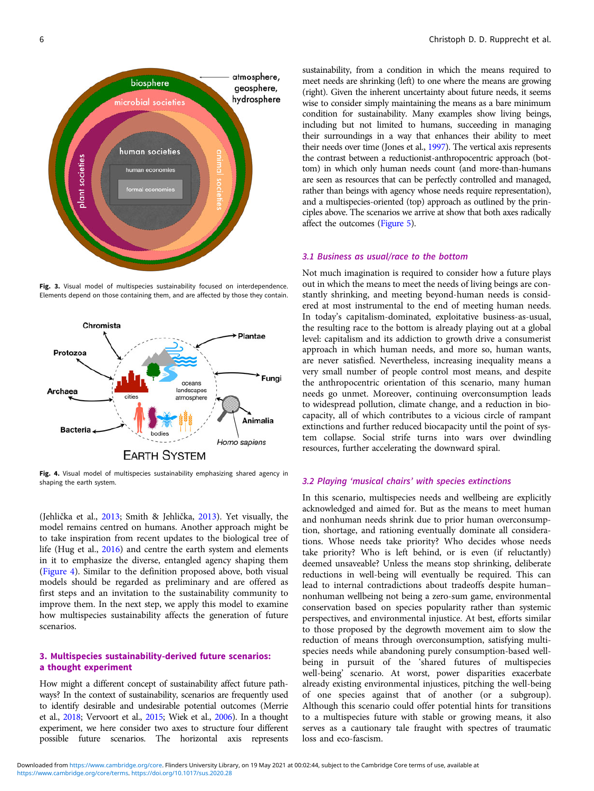<span id="page-5-0"></span>

Fig. 3. Visual model of multispecies sustainability focused on interdependence. Elements depend on those containing them, and are affected by those they contain.



Fig. 4. Visual model of multispecies sustainability emphasizing shared agency in shaping the earth system.

(Jehlička et al., [2013](#page-10-0); Smith & Jehlička, [2013](#page-11-0)). Yet visually, the model remains centred on humans. Another approach might be to take inspiration from recent updates to the biological tree of life (Hug et al., [2016](#page-10-0)) and centre the earth system and elements in it to emphasize the diverse, entangled agency shaping them (Figure 4). Similar to the definition proposed above, both visual models should be regarded as preliminary and are offered as first steps and an invitation to the sustainability community to improve them. In the next step, we apply this model to examine how multispecies sustainability affects the generation of future scenarios.

## 3. Multispecies sustainability-derived future scenarios: a thought experiment

How might a different concept of sustainability affect future pathways? In the context of sustainability, scenarios are frequently used to identify desirable and undesirable potential outcomes (Merrie et al., [2018;](#page-10-0) Vervoort et al., [2015](#page-11-0); Wiek et al., [2006\)](#page-11-0). In a thought experiment, we here consider two axes to structure four different possible future scenarios. The horizontal axis represents

sustainability, from a condition in which the means required to meet needs are shrinking (left) to one where the means are growing (right). Given the inherent uncertainty about future needs, it seems wise to consider simply maintaining the means as a bare minimum condition for sustainability. Many examples show living beings, including but not limited to humans, succeeding in managing their surroundings in a way that enhances their ability to meet their needs over time (Jones et al., [1997\)](#page-10-0). The vertical axis represents the contrast between a reductionist-anthropocentric approach (bottom) in which only human needs count (and more-than-humans are seen as resources that can be perfectly controlled and managed, rather than beings with agency whose needs require representation), and a multispecies-oriented (top) approach as outlined by the principles above. The scenarios we arrive at show that both axes radically affect the outcomes ([Figure 5](#page-6-0)).

#### 3.1 Business as usual/race to the bottom

Not much imagination is required to consider how a future plays out in which the means to meet the needs of living beings are constantly shrinking, and meeting beyond-human needs is considered at most instrumental to the end of meeting human needs. In today's capitalism-dominated, exploitative business-as-usual, the resulting race to the bottom is already playing out at a global level: capitalism and its addiction to growth drive a consumerist approach in which human needs, and more so, human wants, are never satisfied. Nevertheless, increasing inequality means a very small number of people control most means, and despite the anthropocentric orientation of this scenario, many human needs go unmet. Moreover, continuing overconsumption leads to widespread pollution, climate change, and a reduction in biocapacity, all of which contributes to a vicious circle of rampant extinctions and further reduced biocapacity until the point of system collapse. Social strife turns into wars over dwindling resources, further accelerating the downward spiral.

#### 3.2 Playing 'musical chairs' with species extinctions

In this scenario, multispecies needs and wellbeing are explicitly acknowledged and aimed for. But as the means to meet human and nonhuman needs shrink due to prior human overconsumption, shortage, and rationing eventually dominate all considerations. Whose needs take priority? Who decides whose needs take priority? Who is left behind, or is even (if reluctantly) deemed unsaveable? Unless the means stop shrinking, deliberate reductions in well-being will eventually be required. This can lead to internal contradictions about tradeoffs despite human– nonhuman wellbeing not being a zero-sum game, environmental conservation based on species popularity rather than systemic perspectives, and environmental injustice. At best, efforts similar to those proposed by the degrowth movement aim to slow the reduction of means through overconsumption, satisfying multispecies needs while abandoning purely consumption-based wellbeing in pursuit of the 'shared futures of multispecies well-being' scenario. At worst, power disparities exacerbate already existing environmental injustices, pitching the well-being of one species against that of another (or a subgroup). Although this scenario could offer potential hints for transitions to a multispecies future with stable or growing means, it also serves as a cautionary tale fraught with spectres of traumatic loss and eco-fascism.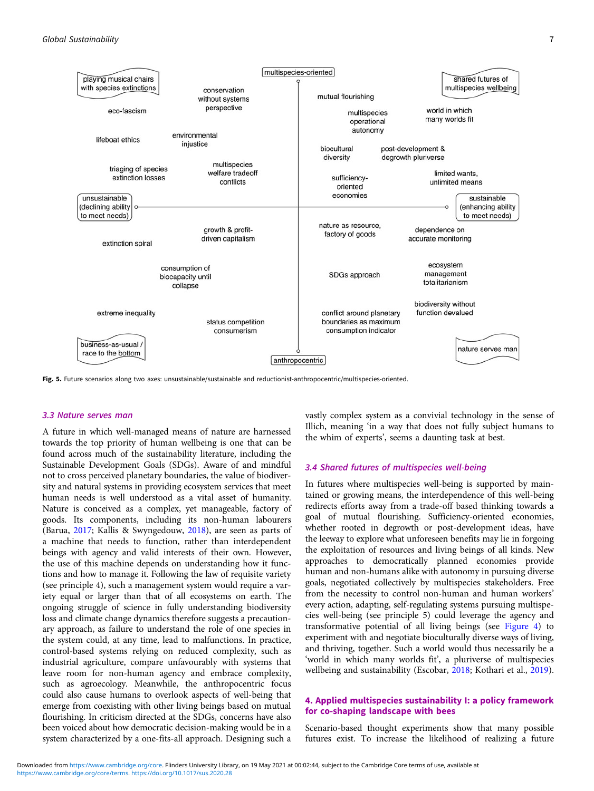<span id="page-6-0"></span>

Fig. 5. Future scenarios along two axes: unsustainable/sustainable and reductionist-anthropocentric/multispecies-oriented.

## 3.3 Nature serves man

A future in which well-managed means of nature are harnessed towards the top priority of human wellbeing is one that can be found across much of the sustainability literature, including the Sustainable Development Goals (SDGs). Aware of and mindful not to cross perceived planetary boundaries, the value of biodiversity and natural systems in providing ecosystem services that meet human needs is well understood as a vital asset of humanity. Nature is conceived as a complex, yet manageable, factory of goods. Its components, including its non-human labourers (Barua, [2017](#page-9-0); Kallis & Swyngedouw, [2018](#page-10-0)), are seen as parts of a machine that needs to function, rather than interdependent beings with agency and valid interests of their own. However, the use of this machine depends on understanding how it functions and how to manage it. Following the law of requisite variety (see principle 4), such a management system would require a variety equal or larger than that of all ecosystems on earth. The ongoing struggle of science in fully understanding biodiversity loss and climate change dynamics therefore suggests a precautionary approach, as failure to understand the role of one species in the system could, at any time, lead to malfunctions. In practice, control-based systems relying on reduced complexity, such as industrial agriculture, compare unfavourably with systems that leave room for non-human agency and embrace complexity, such as agroecology. Meanwhile, the anthropocentric focus could also cause humans to overlook aspects of well-being that emerge from coexisting with other living beings based on mutual flourishing. In criticism directed at the SDGs, concerns have also been voiced about how democratic decision-making would be in a system characterized by a one-fits-all approach. Designing such a

vastly complex system as a convivial technology in the sense of Illich, meaning 'in a way that does not fully subject humans to the whim of experts', seems a daunting task at best.

#### 3.4 Shared futures of multispecies well-being

In futures where multispecies well-being is supported by maintained or growing means, the interdependence of this well-being redirects efforts away from a trade-off based thinking towards a goal of mutual flourishing. Sufficiency-oriented economies, whether rooted in degrowth or post-development ideas, have the leeway to explore what unforeseen benefits may lie in forgoing the exploitation of resources and living beings of all kinds. New approaches to democratically planned economies provide human and non-humans alike with autonomy in pursuing diverse goals, negotiated collectively by multispecies stakeholders. Free from the necessity to control non-human and human workers' every action, adapting, self-regulating systems pursuing multispecies well-being (see principle 5) could leverage the agency and transformative potential of all living beings (see [Figure 4\)](#page-5-0) to experiment with and negotiate bioculturally diverse ways of living, and thriving, together. Such a world would thus necessarily be a 'world in which many worlds fit', a pluriverse of multispecies wellbeing and sustainability (Escobar, [2018](#page-10-0); Kothari et al., [2019](#page-10-0)).

## 4. Applied multispecies sustainability I: a policy framework for co-shaping landscape with bees

Scenario-based thought experiments show that many possible futures exist. To increase the likelihood of realizing a future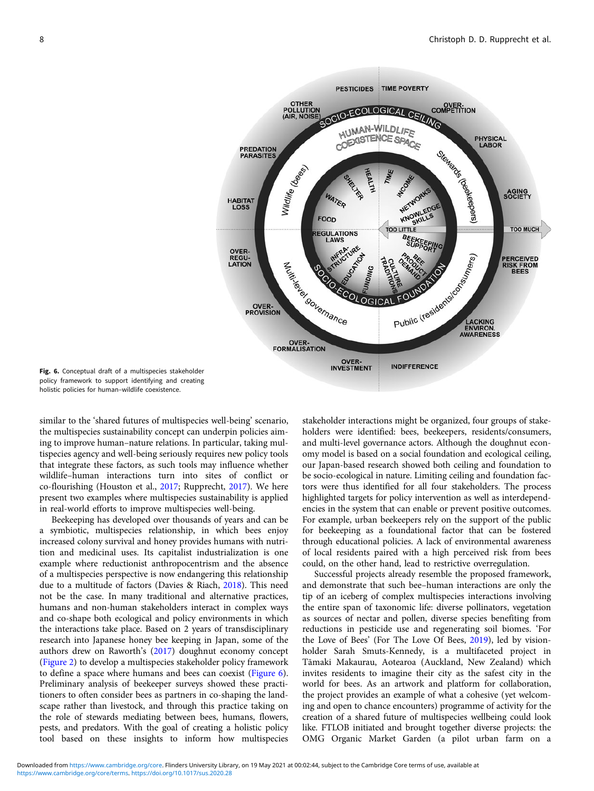<span id="page-7-0"></span>

Fig. 6. Conceptual draft of a multispecies stakeholder policy framework to support identifying and creating holistic policies for human–wildlife coexistence.

similar to the 'shared futures of multispecies well-being' scenario, the multispecies sustainability concept can underpin policies aiming to improve human–nature relations. In particular, taking multispecies agency and well-being seriously requires new policy tools that integrate these factors, as such tools may influence whether wildlife–human interactions turn into sites of conflict or co-flourishing (Houston et al., [2017;](#page-10-0) Rupprecht, [2017\)](#page-11-0). We here present two examples where multispecies sustainability is applied in real-world efforts to improve multispecies well-being.

Beekeeping has developed over thousands of years and can be a symbiotic, multispecies relationship, in which bees enjoy increased colony survival and honey provides humans with nutrition and medicinal uses. Its capitalist industrialization is one example where reductionist anthropocentrism and the absence of a multispecies perspective is now endangering this relationship due to a multitude of factors (Davies & Riach, [2018](#page-9-0)). This need not be the case. In many traditional and alternative practices, humans and non-human stakeholders interact in complex ways and co-shape both ecological and policy environments in which the interactions take place. Based on 2 years of transdisciplinary research into Japanese honey bee keeping in Japan, some of the authors drew on Raworth's [\(2017](#page-11-0)) doughnut economy concept ([Figure 2\)](#page-3-0) to develop a multispecies stakeholder policy framework to define a space where humans and bees can coexist (Figure 6). Preliminary analysis of beekeeper surveys showed these practitioners to often consider bees as partners in co-shaping the landscape rather than livestock, and through this practice taking on the role of stewards mediating between bees, humans, flowers, pests, and predators. With the goal of creating a holistic policy tool based on these insights to inform how multispecies

stakeholder interactions might be organized, four groups of stakeholders were identified: bees, beekeepers, residents/consumers, and multi-level governance actors. Although the doughnut economy model is based on a social foundation and ecological ceiling, our Japan-based research showed both ceiling and foundation to be socio-ecological in nature. Limiting ceiling and foundation factors were thus identified for all four stakeholders. The process highlighted targets for policy intervention as well as interdependencies in the system that can enable or prevent positive outcomes. For example, urban beekeepers rely on the support of the public for beekeeping as a foundational factor that can be fostered through educational policies. A lack of environmental awareness of local residents paired with a high perceived risk from bees could, on the other hand, lead to restrictive overregulation.

Successful projects already resemble the proposed framework, and demonstrate that such bee–human interactions are only the tip of an iceberg of complex multispecies interactions involving the entire span of taxonomic life: diverse pollinators, vegetation as sources of nectar and pollen, diverse species benefiting from reductions in pesticide use and regenerating soil biomes. 'For the Love of Bees' (For The Love Of Bees, [2019\)](#page-10-0), led by visionholder Sarah Smuts-Kennedy, is a multifaceted project in Tāmaki Makaurau, Aotearoa (Auckland, New Zealand) which invites residents to imagine their city as the safest city in the world for bees. As an artwork and platform for collaboration, the project provides an example of what a cohesive (yet welcoming and open to chance encounters) programme of activity for the creation of a shared future of multispecies wellbeing could look like. FTLOB initiated and brought together diverse projects: the OMG Organic Market Garden (a pilot urban farm on a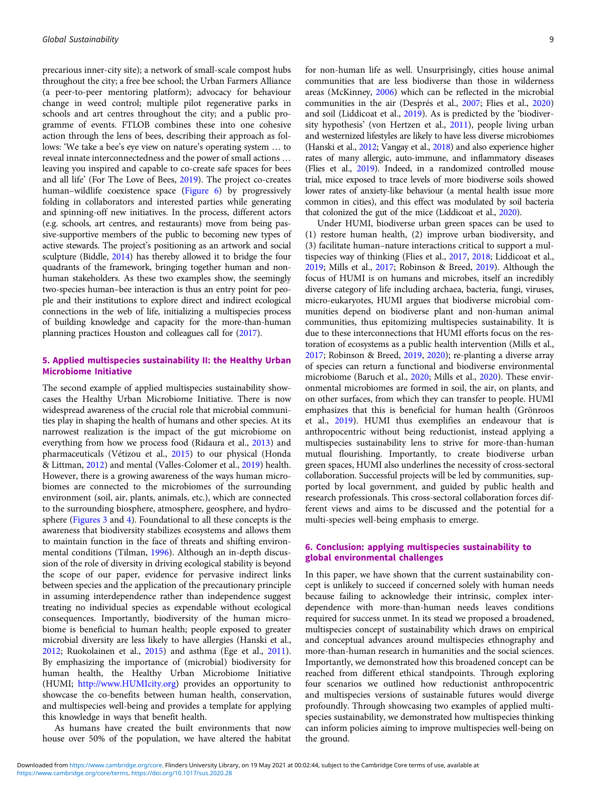precarious inner-city site); a network of small-scale compost hubs throughout the city; a free bee school; the Urban Farmers Alliance (a peer-to-peer mentoring platform); advocacy for behaviour change in weed control; multiple pilot regenerative parks in schools and art centres throughout the city; and a public programme of events. FTLOB combines these into one cohesive action through the lens of bees, describing their approach as follows: 'We take a bee's eye view on nature's operating system … to reveal innate interconnectedness and the power of small actions … leaving you inspired and capable to co-create safe spaces for bees and all life' (For The Love of Bees, [2019](#page-10-0)). The project co-creates human–wildlife coexistence space [\(Figure 6](#page-7-0)) by progressively folding in collaborators and interested parties while generating and spinning-off new initiatives. In the process, different actors (e.g. schools, art centres, and restaurants) move from being passive-supportive members of the public to becoming new types of active stewards. The project's positioning as an artwork and social sculpture (Biddle, [2014](#page-9-0)) has thereby allowed it to bridge the four quadrants of the framework, bringing together human and nonhuman stakeholders. As these two examples show, the seemingly two-species human–bee interaction is thus an entry point for people and their institutions to explore direct and indirect ecological connections in the web of life, initializing a multispecies process of building knowledge and capacity for the more-than-human planning practices Houston and colleagues call for [\(2017\)](#page-10-0).

## 5. Applied multispecies sustainability II: the Healthy Urban Microbiome Initiative

The second example of applied multispecies sustainability showcases the Healthy Urban Microbiome Initiative. There is now widespread awareness of the crucial role that microbial communities play in shaping the health of humans and other species. At its narrowest realization is the impact of the gut microbiome on everything from how we process food (Ridaura et al., [2013](#page-11-0)) and pharmaceuticals (Vétizou et al., [2015](#page-11-0)) to our physical (Honda & Littman, [2012\)](#page-10-0) and mental (Valles-Colomer et al., [2019\)](#page-11-0) health. However, there is a growing awareness of the ways human microbiomes are connected to the microbiomes of the surrounding environment (soil, air, plants, animals, etc.), which are connected to the surrounding biosphere, atmosphere, geosphere, and hydrosphere [\(Figures 3](#page-5-0) and [4\)](#page-5-0). Foundational to all these concepts is the awareness that biodiversity stabilizes ecosystems and allows them to maintain function in the face of threats and shifting environmental conditions (Tilman, [1996](#page-11-0)). Although an in-depth discussion of the role of diversity in driving ecological stability is beyond the scope of our paper, evidence for pervasive indirect links between species and the application of the precautionary principle in assuming interdependence rather than independence suggest treating no individual species as expendable without ecological consequences. Importantly, biodiversity of the human microbiome is beneficial to human health; people exposed to greater microbial diversity are less likely to have allergies (Hanski et al., [2012;](#page-10-0) Ruokolainen et al., [2015\)](#page-11-0) and asthma (Ege et al., [2011\)](#page-10-0). By emphasizing the importance of (microbial) biodiversity for human health, the Healthy Urban Microbiome Initiative (HUMI; <http://www.HUMIcity.org>) provides an opportunity to showcase the co-benefits between human health, conservation, and multispecies well-being and provides a template for applying this knowledge in ways that benefit health.

As humans have created the built environments that now house over 50% of the population, we have altered the habitat for non-human life as well. Unsurprisingly, cities house animal communities that are less biodiverse than those in wilderness areas (McKinney, [2006](#page-10-0)) which can be reflected in the microbial communities in the air (Després et al., [2007;](#page-9-0) Flies et al., [2020](#page-10-0)) and soil (Liddicoat et al., [2019](#page-10-0)). As is predicted by the 'biodiversity hypothesis' (von Hertzen et al., [2011\)](#page-11-0), people living urban and westernized lifestyles are likely to have less diverse microbiomes (Hanski et al., [2012;](#page-10-0) Vangay et al., [2018\)](#page-11-0) and also experience higher rates of many allergic, auto-immune, and inflammatory diseases (Flies et al., [2019\)](#page-10-0). Indeed, in a randomized controlled mouse trial, mice exposed to trace levels of more biodiverse soils showed lower rates of anxiety-like behaviour (a mental health issue more common in cities), and this effect was modulated by soil bacteria that colonized the gut of the mice (Liddicoat et al., [2020](#page-10-0)).

Under HUMI, biodiverse urban green spaces can be used to (1) restore human health, (2) improve urban biodiversity, and (3) facilitate human–nature interactions critical to support a multispecies way of thinking (Flies et al., [2017,](#page-10-0) [2018;](#page-10-0) Liddicoat et al., [2019](#page-10-0); Mills et al., [2017;](#page-11-0) Robinson & Breed, [2019\)](#page-11-0). Although the focus of HUMI is on humans and microbes, itself an incredibly diverse category of life including archaea, bacteria, fungi, viruses, micro-eukaryotes, HUMI argues that biodiverse microbial communities depend on biodiverse plant and non-human animal communities, thus epitomizing multispecies sustainability. It is due to these interconnections that HUMI efforts focus on the restoration of ecosystems as a public health intervention (Mills et al., [2017](#page-11-0); Robinson & Breed, [2019](#page-11-0), [2020](#page-11-0)); re-planting a diverse array of species can return a functional and biodiverse environmental microbiome (Baruch et al., [2020](#page-9-0); Mills et al., [2020](#page-10-0)). These environmental microbiomes are formed in soil, the air, on plants, and on other surfaces, from which they can transfer to people. HUMI emphasizes that this is beneficial for human health (Grönroos et al., [2019\)](#page-10-0). HUMI thus exemplifies an endeavour that is anthropocentric without being reductionist, instead applying a multispecies sustainability lens to strive for more-than-human mutual flourishing. Importantly, to create biodiverse urban green spaces, HUMI also underlines the necessity of cross-sectoral collaboration. Successful projects will be led by communities, supported by local government, and guided by public health and research professionals. This cross-sectoral collaboration forces different views and aims to be discussed and the potential for a multi-species well-being emphasis to emerge.

### 6. Conclusion: applying multispecies sustainability to global environmental challenges

In this paper, we have shown that the current sustainability concept is unlikely to succeed if concerned solely with human needs because failing to acknowledge their intrinsic, complex interdependence with more-than-human needs leaves conditions required for success unmet. In its stead we proposed a broadened, multispecies concept of sustainability which draws on empirical and conceptual advances around multispecies ethnography and more-than-human research in humanities and the social sciences. Importantly, we demonstrated how this broadened concept can be reached from different ethical standpoints. Through exploring four scenarios we outlined how reductionist anthropocentric and multispecies versions of sustainable futures would diverge profoundly. Through showcasing two examples of applied multispecies sustainability, we demonstrated how multispecies thinking can inform policies aiming to improve multispecies well-being on the ground.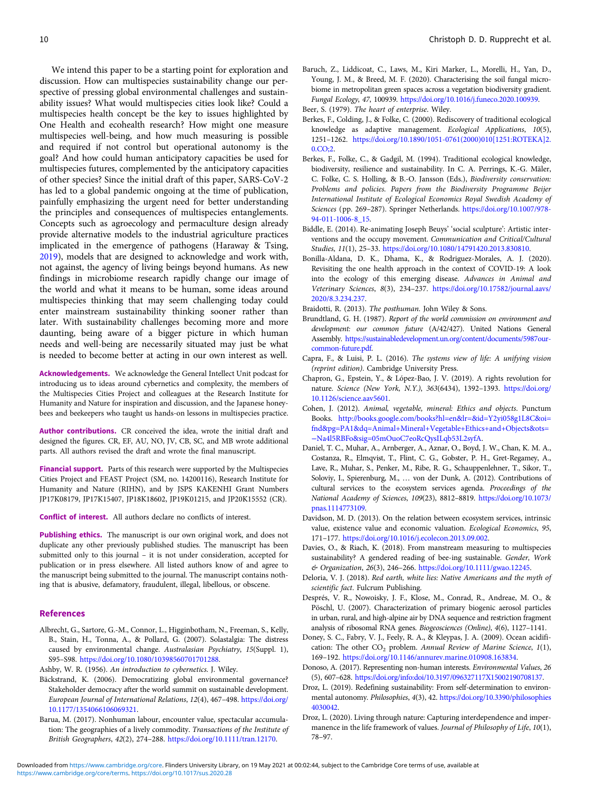<span id="page-9-0"></span>We intend this paper to be a starting point for exploration and discussion. How can multispecies sustainability change our perspective of pressing global environmental challenges and sustainability issues? What would multispecies cities look like? Could a multispecies health concept be the key to issues highlighted by One Health and ecohealth research? How might one measure multispecies well-being, and how much measuring is possible and required if not control but operational autonomy is the goal? And how could human anticipatory capacities be used for multispecies futures, complemented by the anticipatory capacities of other species? Since the initial draft of this paper, SARS-CoV-2 has led to a global pandemic ongoing at the time of publication, painfully emphasizing the urgent need for better understanding the principles and consequences of multispecies entanglements. Concepts such as agroecology and permaculture design already provide alternative models to the industrial agriculture practices implicated in the emergence of pathogens (Haraway & Tsing, [2019\)](#page-10-0), models that are designed to acknowledge and work with, not against, the agency of living beings beyond humans. As new findings in microbiome research rapidly change our image of the world and what it means to be human, some ideas around multispecies thinking that may seem challenging today could enter mainstream sustainability thinking sooner rather than later. With sustainability challenges becoming more and more daunting, being aware of a bigger picture in which human needs and well-being are necessarily situated may just be what is needed to become better at acting in our own interest as well.

Acknowledgements. We acknowledge the General Intellect Unit podcast for introducing us to ideas around cybernetics and complexity, the members of the Multispecies Cities Project and colleagues at the Research Institute for Humanity and Nature for inspiration and discussion, and the Japanese honeybees and beekeepers who taught us hands-on lessons in multispecies practice.

Author contributions. CR conceived the idea, wrote the initial draft and designed the figures. CR, EF, AU, NO, JV, CB, SC, and MB wrote additional parts. All authors revised the draft and wrote the final manuscript.

Financial support. Parts of this research were supported by the Multispecies Cities Project and FEAST Project (SM, no. 14200116), Research Institute for Humanity and Nature (RIHN), and by JSPS KAKENHI Grant Numbers JP17K08179, JP17K15407, JP18K18602, JP19K01215, and JP20K15552 (CR).

Conflict of interest. All authors declare no conflicts of interest.

**Publishing ethics.** The manuscript is our own original work, and does not duplicate any other previously published studies. The manuscript has been submitted only to this journal – it is not under consideration, accepted for publication or in press elsewhere. All listed authors know of and agree to the manuscript being submitted to the journal. The manuscript contains nothing that is abusive, defamatory, fraudulent, illegal, libellous, or obscene.

#### References

Albrecht, G., Sartore, G.-M., Connor, L., Higginbotham, N., Freeman, S., Kelly, B., Stain, H., Tonna, A., & Pollard, G. (2007). Solastalgia: The distress caused by environmental change. Australasian Psychiatry, 15(Suppl. 1), S95–S98. <https://doi.org/10.1080/10398560701701288>.

Ashby, W. R. (1956). An introduction to cybernetics. J. Wiley.

- Bäckstrand, K. (2006). Democratizing global environmental governance? Stakeholder democracy after the world summit on sustainable development. European Journal of International Relations, 12(4), 467–498. [https://doi.org/](https://doi.org/10.1177/1354066106069321) [10.1177/1354066106069321](https://doi.org/10.1177/1354066106069321).
- Barua, M. (2017). Nonhuman labour, encounter value, spectacular accumulation: The geographies of a lively commodity. Transactions of the Institute of British Geographers, 42(2), 274–288. [https://doi.org/10.1111/tran.12170.](https://doi.org/10.1111/tran.12170)

Beer, S. (1979). The heart of enterprise. Wiley.

- Berkes, F., Colding, J., & Folke, C. (2000). Rediscovery of traditional ecological knowledge as adaptive management. Ecological Applications, 10(5), 1251–1262. [https://doi.org/10.1890/1051-0761\(2000\)010\[1251:ROTEKA\]2.](https://doi.org/10.1890/1051-0761(2000)010[1251:ROTEKA]2.0.CO;2) [0.CO;2](https://doi.org/10.1890/1051-0761(2000)010[1251:ROTEKA]2.0.CO;2).
- Berkes, F., Folke, C., & Gadgil, M. (1994). Traditional ecological knowledge, biodiversity, resilience and sustainability. In C. A. Perrings, K.-G. Mäler, C. Folke, C. S. Holling, & B.-O. Jansson (Eds.), Biodiversity conservation: Problems and policies. Papers from the Biodiversity Programme Beijer International Institute of Ecological Economics Royal Swedish Academy of Sciences (pp. 269–287). Springer Netherlands. [https://doi.org/10.1007/978-](https://doi.org/10.1007/978-94-011-1006-8_15) [94-011-1006-8\\_15.](https://doi.org/10.1007/978-94-011-1006-8_15)
- Biddle, E. (2014). Re-animating Joseph Beuys' 'social sculpture': Artistic interventions and the occupy movement. Communication and Critical/Cultural Studies, 11(1), 25–33. [https://doi.org/10.1080/14791420.2013.830810.](https://doi.org/10.1080/14791420.2013.830810)
- Bonilla-Aldana, D. K., Dhama, K., & Rodriguez-Morales, A. J. (2020). Revisiting the one health approach in the context of COVID-19: A look into the ecology of this emerging disease. Advances in Animal and Veterinary Sciences, 8(3), 234–237. [https://doi.org/10.17582/journal.aavs/](https://doi.org/10.17582/journal.aavs/2020/8.3.234.237) [2020/8.3.234.237.](https://doi.org/10.17582/journal.aavs/2020/8.3.234.237)
- Braidotti, R. (2013). The posthuman. John Wiley & Sons.
- Brundtland, G. H. (1987). Report of the world commission on environment and development: our common future (A/42/427). United Nations General Assembly. [https://sustainabledevelopment.un.org/content/documents/5987our](https://sustainabledevelopment.un.org/content/documents/5987our-common-future.pdf)[common-future.pdf](https://sustainabledevelopment.un.org/content/documents/5987our-common-future.pdf).
- Capra, F., & Luisi, P. L. (2016). The systems view of life: A unifying vision (reprint edition). Cambridge University Press.
- Chapron, G., Epstein, Y., & López-Bao, J. V. (2019). A rights revolution for nature. Science (New York, N.Y.), 363(6434), 1392–1393. [https://doi.org/](https://doi.org/10.1126/science.aav5601) [10.1126/science.aav5601.](https://doi.org/10.1126/science.aav5601)
- Cohen, J. (2012). Animal, vegetable, mineral: Ethics and objects. Punctum Books. [http://books.google.com/books?hl=en&lr=&id=Y2yi058g1L8C&oi=](http://books.google.com/books?hl=en&lr=&id=Y2yi058g1L8C&oi=fnd&pg=PA1&dq=Animal+Mineral+Vegetable+Ethics+and+Objects&ots=-Na4l5RBFo&sig=05mOuoC7eoRcQysILqb53L2syfA) [fnd&pg=PA1&dq=Animal+Mineral+Vegetable+Ethics+and+Objects&ots=](http://books.google.com/books?hl=en&lr=&id=Y2yi058g1L8C&oi=fnd&pg=PA1&dq=Animal+Mineral+Vegetable+Ethics+and+Objects&ots=-Na4l5RBFo&sig=05mOuoC7eoRcQysILqb53L2syfA) −[Na4l5RBFo&sig=05mOuoC7eoRcQysILqb53L2syfA.](http://books.google.com/books?hl=en&lr=&id=Y2yi058g1L8C&oi=fnd&pg=PA1&dq=Animal+Mineral+Vegetable+Ethics+and+Objects&ots=-Na4l5RBFo&sig=05mOuoC7eoRcQysILqb53L2syfA)
- Daniel, T. C., Muhar, A., Arnberger, A., Aznar, O., Boyd, J. W., Chan, K. M. A., Costanza, R., Elmqvist, T., Flint, C. G., Gobster, P. H., Gret-Regamey, A., Lave, R., Muhar, S., Penker, M., Ribe, R. G., Schauppenlehner, T., Sikor, T., Soloviy, I., Spierenburg, M., … von der Dunk, A. (2012). Contributions of cultural services to the ecosystem services agenda. Proceedings of the National Academy of Sciences, 109(23), 8812–8819. [https://doi.org/10.1073/](https://doi.org/10.1073/pnas.1114773109) [pnas.1114773109.](https://doi.org/10.1073/pnas.1114773109)
- Davidson, M. D. (2013). On the relation between ecosystem services, intrinsic value, existence value and economic valuation. Ecological Economics, 95, 171–177. <https://doi.org/10.1016/j.ecolecon.2013.09.002>.
- Davies, O., & Riach, K. (2018). From manstream measuring to multispecies sustainability? A gendered reading of bee-ing sustainable. Gender, Work & Organization, 26(3), 246–266. <https://doi.org/10.1111/gwao.12245>.
- Deloria, V. J. (2018). Red earth, white lies: Native Americans and the myth of scientific fact. Fulcrum Publishing.
- Després, V. R., Nowoisky, J. F., Klose, M., Conrad, R., Andreae, M. O., & Pöschl, U. (2007). Characterization of primary biogenic aerosol particles in urban, rural, and high-alpine air by DNA sequence and restriction fragment analysis of ribosomal RNA genes. Biogeosciences (Online), 4(6), 1127–1141.
- Doney, S. C., Fabry, V. J., Feely, R. A., & Kleypas, J. A. (2009). Ocean acidification: The other  $CO<sub>2</sub>$  problem. Annual Review of Marine Science, 1(1), 169–192. [https://doi.org/10.1146/annurev.marine.010908.163834.](https://doi.org/10.1146/annurev.marine.010908.163834)
- Donoso, A. (2017). Representing non-human interests. Environmental Values, 26 (5), 607–628. [https://doi.org/info:doi/10.3197/096327117X15002190708137.](https://doi.org/info:doi/10.3197/096327117X15002190708137)
- Droz, L. (2019). Redefining sustainability: From self-determination to environmental autonomy. Philosophies, 4(3), 42. [https://doi.org/10.3390/philosophies](https://doi.org/10.3390/philosophies4030042) [4030042.](https://doi.org/10.3390/philosophies4030042)
- Droz, L. (2020). Living through nature: Capturing interdependence and impermanence in the life framework of values. Journal of Philosophy of Life, 10(1), 78–97.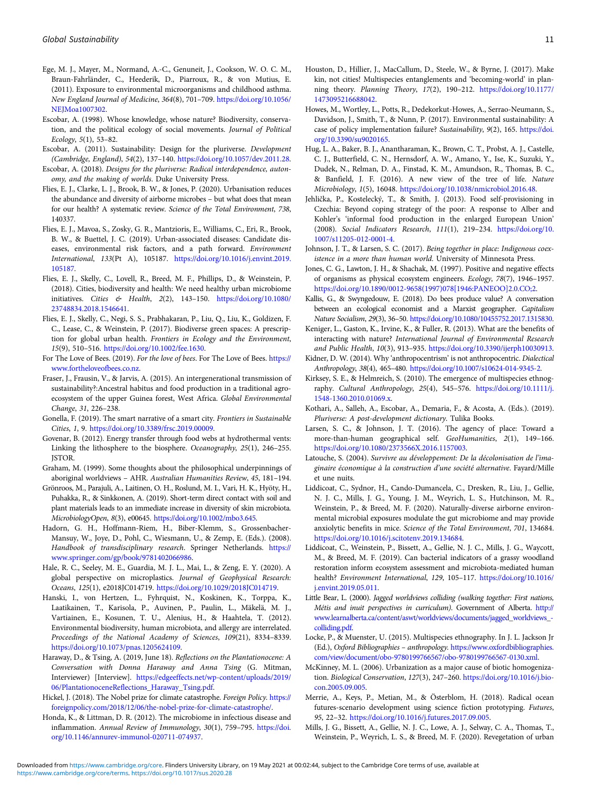- <span id="page-10-0"></span>Ege, M. J., Mayer, M., Normand, A.-C., Genuneit, J., Cookson, W. O. C. M., Braun-Fahrländer, C., Heederik, D., Piarroux, R., & von Mutius, E. (2011). Exposure to environmental microorganisms and childhood asthma. New England Journal of Medicine, 364(8), 701–709. [https://doi.org/10.1056/](https://doi.org/10.1056/NEJMoa1007302) [NEJMoa1007302.](https://doi.org/10.1056/NEJMoa1007302)
- Escobar, A. (1998). Whose knowledge, whose nature? Biodiversity, conservation, and the political ecology of social movements. Journal of Political Ecology, 5(1), 53–82.
- Escobar, A. (2011). Sustainability: Design for the pluriverse. Development (Cambridge, England), 54(2), 137–140. <https://doi.org/10.1057/dev.2011.28>.
- Escobar, A. (2018). Designs for the pluriverse: Radical interdependence, autonomy, and the making of worlds. Duke University Press.
- Flies, E. J., Clarke, L. J., Brook, B. W., & Jones, P. (2020). Urbanisation reduces the abundance and diversity of airborne microbes – but what does that mean for our health? A systematic review. Science of the Total Environment, 738, 140337.
- Flies, E. J., Mavoa, S., Zosky, G. R., Mantzioris, E., Williams, C., Eri, R., Brook, B. W., & Buettel, J. C. (2019). Urban-associated diseases: Candidate diseases, environmental risk factors, and a path forward. Environment International, 133(Pt A), 105187. [https://doi.org/10.1016/j.envint.2019.](https://doi.org/10.1016/j.envint.2019.105187) [105187](https://doi.org/10.1016/j.envint.2019.105187).
- Flies, E. J., Skelly, C., Lovell, R., Breed, M. F., Phillips, D., & Weinstein, P. (2018). Cities, biodiversity and health: We need healthy urban microbiome initiatives. Cities & Health, 2(2), 143–150. [https://doi.org/10.1080/](https://doi.org/10.1080/23748834.2018.1546641) [23748834.2018.1546641.](https://doi.org/10.1080/23748834.2018.1546641)
- Flies, E. J., Skelly, C., Negi, S. S., Prabhakaran, P., Liu, Q., Liu, K., Goldizen, F. C., Lease, C., & Weinstein, P. (2017). Biodiverse green spaces: A prescription for global urban health. Frontiers in Ecology and the Environment, 15(9), 510–516. [https://doi.org/10.1002/fee.1630.](https://doi.org/10.1002/fee.1630)
- For The Love of Bees. (2019). For the love of bees. For The Love of Bees. [https://](https://www.fortheloveofbees.co.nz) [www.fortheloveofbees.co.nz](https://www.fortheloveofbees.co.nz).
- Fraser, J., Frausin, V., & Jarvis, A. (2015). An intergenerational transmission of sustainability?:Ancestral habitus and food production in a traditional agroecosystem of the upper Guinea forest, West Africa. Global Environmental Change, 31, 226–238.
- Gonella, F. (2019). The smart narrative of a smart city. Frontiers in Sustainable Cities, 1, 9. [https://doi.org/10.3389/frsc.2019.00009.](https://doi.org/10.3389/frsc.2019.00009)
- Govenar, B. (2012). Energy transfer through food webs at hydrothermal vents: Linking the lithosphere to the biosphere. Oceanography, 25(1), 246–255. **ISTOR**
- Graham, M. (1999). Some thoughts about the philosophical underpinnings of aboriginal worldviews – AHR. Australian Humanities Review, 45, 181–194.
- Grönroos, M., Parajuli, A., Laitinen, O. H., Roslund, M. I., Vari, H. K., Hyöty, H., Puhakka, R., & Sinkkonen, A. (2019). Short-term direct contact with soil and plant materials leads to an immediate increase in diversity of skin microbiota. MicrobiologyOpen, 8(3), e00645. <https://doi.org/10.1002/mbo3.645>.
- Hadorn, G. H., Hoffmann-Riem, H., Biber-Klemm, S., Grossenbacher-Mansuy, W., Joye, D., Pohl, C., Wiesmann, U., & Zemp, E. (Eds.). (2008). Handbook of transdisciplinary research. Springer Netherlands. [https://](https://www.springer.com/gp/book/9781402066986) [www.springer.com/gp/book/9781402066986](https://www.springer.com/gp/book/9781402066986).
- Hale, R. C., Seeley, M. E., Guardia, M. J. L., Mai, L., & Zeng, E. Y. (2020). A global perspective on microplastics. Journal of Geophysical Research: Oceans, 125(1), e2018JC014719. [https://doi.org/10.1029/2018JC014719.](https://doi.org/10.1029/2018JC014719)
- Hanski, I., von Hertzen, L., Fyhrquist, N., Koskinen, K., Torppa, K., Laatikainen, T., Karisola, P., Auvinen, P., Paulin, L., Mäkelä, M. J., Vartiainen, E., Kosunen, T. U., Alenius, H., & Haahtela, T. (2012). Environmental biodiversity, human microbiota, and allergy are interrelated. Proceedings of the National Academy of Sciences, 109(21), 8334–8339. [https://doi.org/10.1073/pnas.1205624109.](https://doi.org/10.1073/pnas.1205624109)
- Haraway, D., & Tsing, A. (2019, June 18). Reflections on the Plantationocene: A Conversation with Donna Haraway and Anna Tsing (G. Mitman, Interviewer) [Interview]. [https://edgeeffects.net/wp-content/uploads/2019/](https://edgeeffects.net/wp-content/uploads/2019/06/PlantationoceneReflections_Haraway_Tsing.pdf) [06/PlantationoceneReflections\\_Haraway\\_Tsing.pdf.](https://edgeeffects.net/wp-content/uploads/2019/06/PlantationoceneReflections_Haraway_Tsing.pdf)
- Hickel, J. (2018). The Nobel prize for climate catastrophe. Foreign Policy. [https://](https://foreignpolicy.com/2018/12/06/the-nobel-prize-for-climate-catastrophe/) [foreignpolicy.com/2018/12/06/the-nobel-prize-for-climate-catastrophe/](https://foreignpolicy.com/2018/12/06/the-nobel-prize-for-climate-catastrophe/).
- Honda, K., & Littman, D. R. (2012). The microbiome in infectious disease and inflammation. Annual Review of Immunology, 30(1), 759–795. [https://doi.](https://doi.org/10.1146/annurev-immunol-020711-074937) [org/10.1146/annurev-immunol-020711-074937.](https://doi.org/10.1146/annurev-immunol-020711-074937)
- Houston, D., Hillier, J., MacCallum, D., Steele, W., & Byrne, J. (2017). Make kin, not cities! Multispecies entanglements and 'becoming-world' in planning theory. Planning Theory, 17(2), 190–212. [https://doi.org/10.1177/](https://doi.org/10.1177/1473095216688042) [1473095216688042](https://doi.org/10.1177/1473095216688042).
- Howes, M., Wortley, L., Potts, R., Dedekorkut-Howes, A., Serrao-Neumann, S., Davidson, J., Smith, T., & Nunn, P. (2017). Environmental sustainability: A case of policy implementation failure? Sustainability, 9(2), 165. [https://doi.](https://doi.org/10.3390/su9020165) [org/10.3390/su9020165](https://doi.org/10.3390/su9020165).
- Hug, L. A., Baker, B. J., Anantharaman, K., Brown, C. T., Probst, A. J., Castelle, C. J., Butterfield, C. N., Hernsdorf, A. W., Amano, Y., Ise, K., Suzuki, Y., Dudek, N., Relman, D. A., Finstad, K. M., Amundson, R., Thomas, B. C., & Banfield, J. F. (2016). A new view of the tree of life. Nature Microbiology, 1(5), 16048. <https://doi.org/10.1038/nmicrobiol.2016.48>.
- Jehlička, P., Kostelecký, T., & Smith, J. (2013). Food self-provisioning in Czechia: Beyond coping strategy of the poor: A response to Alber and Kohler's 'informal food production in the enlarged European Union' (2008). Social Indicators Research, 111(1), 219–234. [https://doi.org/10.](https://doi.org/10.1007/s11205-012-0001-4) [1007/s11205-012-0001-4](https://doi.org/10.1007/s11205-012-0001-4).
- Johnson, J. T., & Larsen, S. C. (2017). Being together in place: Indigenous coexistence in a more than human world. University of Minnesota Press.
- Jones, C. G., Lawton, J. H., & Shachak, M. (1997). Positive and negative effects of organisms as physical ecosystem engineers. Ecology, 78(7), 1946–1957. [https://doi.org/10.1890/0012-9658\(1997\)078\[1946:PANEOO\]2.0.CO;2](https://doi.org/10.1890/0012-9658(1997)078[1946:PANEOO]2.0.CO;2).
- Kallis, G., & Swyngedouw, E. (2018). Do bees produce value? A conversation between an ecological economist and a Marxist geographer. Capitalism Nature Socialism, 29(3), 36–50. [https://doi.org/10.1080/10455752.2017.1315830.](https://doi.org/10.1080/10455752.2017.1315830)
- Keniger, L., Gaston, K., Irvine, K., & Fuller, R. (2013). What are the benefits of interacting with nature? International Journal of Environmental Research and Public Health, 10(3), 913–935. [https://doi.org/10.3390/ijerph10030913.](https://doi.org/10.3390/ijerph10030913)
- Kidner, D. W. (2014). Why 'anthropocentrism' is not anthropocentric. Dialectical Anthropology, 38(4), 465–480. [https://doi.org/10.1007/s10624-014-9345-2.](https://doi.org/10.1007/s10624-014-9345-2)
- Kirksey, S. E., & Helmreich, S. (2010). The emergence of multispecies ethnography. Cultural Anthropology, 25(4), 545–576. [https://doi.org/10.1111/j.](https://doi.org/10.1111/j.1548-1360.2010.01069.x) [1548-1360.2010.01069.x.](https://doi.org/10.1111/j.1548-1360.2010.01069.x)
- Kothari, A., Salleh, A., Escobar, A., Demaria, F., & Acosta, A. (Eds.). (2019). Pluriverse: A post-development dictionary. Tulika Books.
- Larsen, S. C., & Johnson, J. T. (2016). The agency of place: Toward a more-than-human geographical self. GeoHumanities, 2(1), 149–166. <https://doi.org/10.1080/2373566X.2016.1157003>.
- Latouche, S. (2004). Survivre au développement: De la décolonisation de l'imaginaire économique à la construction d'une société alternative. Fayard/Mille et une nuits.
- Liddicoat, C., Sydnor, H., Cando-Dumancela, C., Dresken, R., Liu, J., Gellie, N. J. C., Mills, J. G., Young, J. M., Weyrich, L. S., Hutchinson, M. R., Weinstein, P., & Breed, M. F. (2020). Naturally-diverse airborne environmental microbial exposures modulate the gut microbiome and may provide anxiolytic benefits in mice. Science of the Total Environment, 701, 134684. [https://doi.org/10.1016/j.scitotenv.2019.134684.](https://doi.org/10.1016/j.scitotenv.2019.134684)
- Liddicoat, C., Weinstein, P., Bissett, A., Gellie, N. J. C., Mills, J. G., Waycott, M., & Breed, M. F. (2019). Can bacterial indicators of a grassy woodland restoration inform ecosystem assessment and microbiota-mediated human health? Environment International, 129, 105-117. [https://doi.org/10.1016/](https://doi.org/10.1016/j.envint.2019.05.011) [j.envint.2019.05.011.](https://doi.org/10.1016/j.envint.2019.05.011)
- Little Bear, L. (2000). Jagged worldviews colliding (walking together: First nations, Métis and inuit perspectives in curriculum). Government of Alberta. [http://](http://www.learnalberta.ca/content/aswt/worldviews/documents/jagged_worldviews_colliding.pdf) [www.learnalberta.ca/content/aswt/worldviews/documents/jagged\\_worldviews\\_](http://www.learnalberta.ca/content/aswt/worldviews/documents/jagged_worldviews_colliding.pdf) [colliding.pdf.](http://www.learnalberta.ca/content/aswt/worldviews/documents/jagged_worldviews_colliding.pdf)
- Locke, P., & Muenster, U. (2015). Multispecies ethnography. In J. L. Jackson Jr (Ed.), Oxford Bibliographies – anthropology. [https://www.oxfordbibliographies.](https://www.oxfordbibliographies.com/view/document/obo-9780199766567/obo-9780199766567-0130.xml) [com/view/document/obo-9780199766567/obo-9780199766567-0130.xml](https://www.oxfordbibliographies.com/view/document/obo-9780199766567/obo-9780199766567-0130.xml).
- McKinney, M. L. (2006). Urbanization as a major cause of biotic homogenization. Biological Conservation, 127(3), 247-260. [https://doi.org/10.1016/j.bio](https://doi.org/10.1016/j.biocon.2005.09.005)[con.2005.09.005](https://doi.org/10.1016/j.biocon.2005.09.005).
- Merrie, A., Keys, P., Metian, M., & Österblom, H. (2018). Radical ocean futures-scenario development using science fiction prototyping. Futures, 95, 22–32. [https://doi.org/10.1016/j.futures.2017.09.005.](https://doi.org/10.1016/j.futures.2017.09.005)
- Mills, J. G., Bissett, A., Gellie, N. J. C., Lowe, A. J., Selway, C. A., Thomas, T., Weinstein, P., Weyrich, L. S., & Breed, M. F. (2020). Revegetation of urban